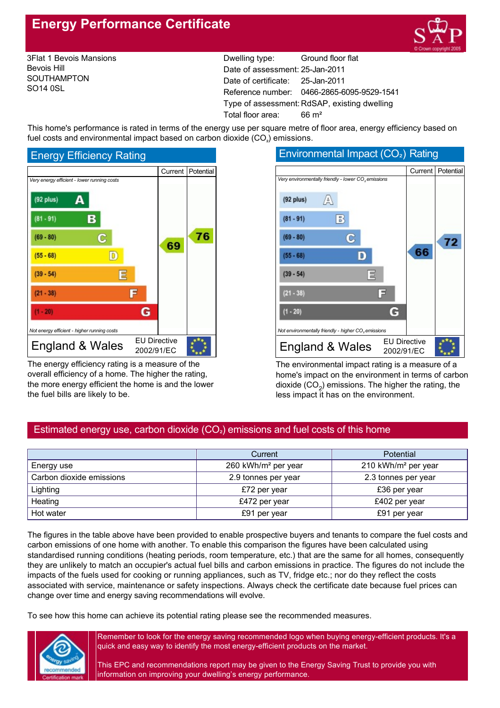# **Energy Performance Certificate**



3Flat 1 Bevois Mansions Bevois Hill **SOUTHAMPTON** SO14 0SL

Dwelling type: Ground floor flat Date of assessment: 25-Jan-2011 Date of certificate: 25-Jan-2011 Reference number: 0466-2865-6095-9529-1541 Type of assessment: RdSAP, existing dwelling Total floor area: 66 m²

This home's performance is rated in terms of the energy use per square metre of floor area, energy efficiency based on fuel costs and environmental impact based on carbon dioxide  $(CO<sub>2</sub>)$  emissions.



The energy efficiency rating is a measure of the overall efficiency of a home. The higher the rating, the more energy efficient the home is and the lower the fuel bills are likely to be.

#### Environmental Impact (CO<sub>2</sub>) Rating Current | Potential *Very environmentally friendly lower CO<sup>²</sup> emissions*  $(92$  plus) А  $\mathbb{B}$  $(81 - 91)$  $(69 - 80)$ C 72 66  $(55 - 68)$ D  $\equiv$  $(39 - 54)$  $\equiv$  $(21 - 38)$  $(1 - 20)$ G *Not environmentally friendly higher CO<sup>²</sup> emissions* England & Wales  $\frac{EU \text{ Directive}}{2002/01/E}$ 2002/91/EC

The environmental impact rating is a measure of a home's impact on the environment in terms of carbon dioxide  $(CO<sub>2</sub>)$  emissions. The higher the rating, the less impact it has on the environment.

## Estimated energy use, carbon dioxide  $(CO<sub>2</sub>)$  emissions and fuel costs of this home

|                          | Current                         | Potential                       |
|--------------------------|---------------------------------|---------------------------------|
| Energy use               | 260 kWh/m <sup>2</sup> per year | 210 kWh/m <sup>2</sup> per year |
| Carbon dioxide emissions | 2.9 tonnes per year             | 2.3 tonnes per year             |
| Lighting                 | £72 per year                    | £36 per year                    |
| Heating                  | £472 per year                   | £402 per year                   |
| Hot water                | £91 per year                    | £91 per year                    |

The figures in the table above have been provided to enable prospective buyers and tenants to compare the fuel costs and carbon emissions of one home with another. To enable this comparison the figures have been calculated using standardised running conditions (heating periods, room temperature, etc.) that are the same for all homes, consequently they are unlikely to match an occupier's actual fuel bills and carbon emissions in practice. The figures do not include the impacts of the fuels used for cooking or running appliances, such as TV, fridge etc.; nor do they reflect the costs associated with service, maintenance or safety inspections. Always check the certificate date because fuel prices can change over time and energy saving recommendations will evolve.

To see how this home can achieve its potential rating please see the recommended measures.



Remember to look for the energy saving recommended logo when buying energy-efficient products. It's a quick and easy way to identify the most energy-efficient products on the market.

This EPC and recommendations report may be given to the Energy Saving Trust to provide you with information on improving your dwelling's energy performance.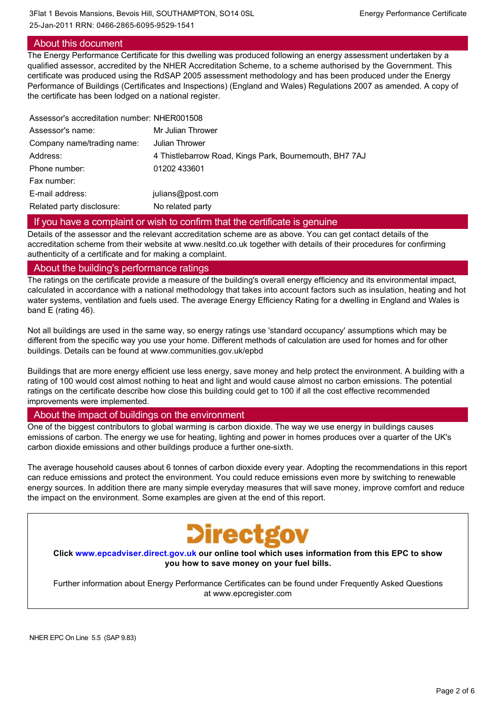#### About this document

The Energy Performance Certificate for this dwelling was produced following an energy assessment undertaken by a qualified assessor, accredited by the NHER Accreditation Scheme, to a scheme authorised by the Government. This certificate was produced using the RdSAP 2005 assessment methodology and has been produced under the Energy Performance of Buildings (Certificates and Inspections) (England and Wales) Regulations 2007 as amended. A copy of the certificate has been lodged on a national register.

| Assessor's accreditation number: NHER001508 |                                                        |
|---------------------------------------------|--------------------------------------------------------|
| Assessor's name:                            | Mr Julian Thrower                                      |
| Company name/trading name:                  | Julian Thrower                                         |
| Address:                                    | 4 Thistlebarrow Road, Kings Park, Bournemouth, BH7 7AJ |
| Phone number:                               | 01202 433601                                           |
| Fax number:                                 |                                                        |
| E-mail address:                             | julians@post.com                                       |
| Related party disclosure:                   | No related party                                       |

#### If you have a complaint or wish to confirm that the certificate is genuine

Details of the assessor and the relevant accreditation scheme are as above. You can get contact details of the accreditation scheme from their website at www.nesltd.co.uk together with details of their procedures for confirming authenticity of a certificate and for making a complaint.

#### About the building's performance ratings

The ratings on the certificate provide a measure of the building's overall energy efficiency and its environmental impact, calculated in accordance with a national methodology that takes into account factors such as insulation, heating and hot water systems, ventilation and fuels used. The average Energy Efficiency Rating for a dwelling in England and Wales is band E (rating 46).

Not all buildings are used in the same way, so energy ratings use 'standard occupancy' assumptions which may be different from the specific way you use your home. Different methods of calculation are used for homes and for other buildings. Details can be found at www.communities.gov.uk/epbd

Buildings that are more energy efficient use less energy, save money and help protect the environment. A building with a rating of 100 would cost almost nothing to heat and light and would cause almost no carbon emissions. The potential ratings on the certificate describe how close this building could get to 100 if all the cost effective recommended improvements were implemented.

#### About the impact of buildings on the environment

One of the biggest contributors to global warming is carbon dioxide. The way we use energy in buildings causes emissions of carbon. The energy we use for heating, lighting and power in homes produces over a quarter of the UK's carbon dioxide emissions and other buildings produce a further onesixth.

The average household causes about 6 tonnes of carbon dioxide every year. Adopting the recommendations in this report can reduce emissions and protect the environment. You could reduce emissions even more by switching to renewable energy sources. In addition there are many simple everyday measures that will save money, improve comfort and reduce the impact on the environment. Some examples are given at the end of this report.

**Click www.epcadviser.direct.gov.uk our online tool which uses information from this EPC to show you how to save money on your fuel bills.**

Further information about Energy Performance Certificates can be found under Frequently Asked Questions at www.epcregister.com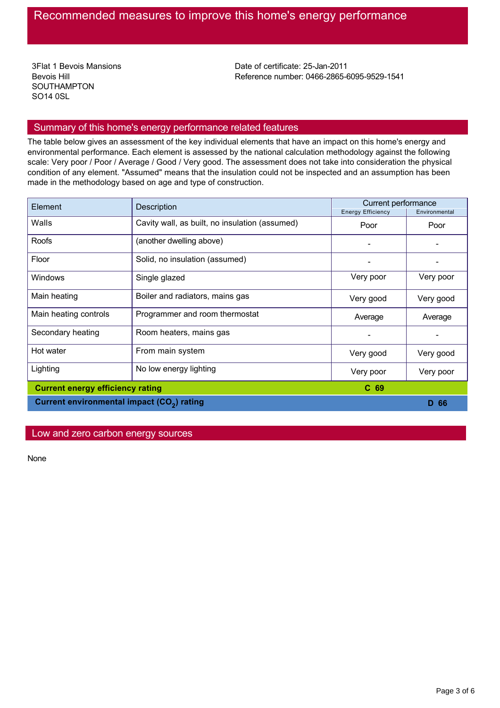3Flat 1 Bevois Mansions Bevois Hill SOUTHAMPTON SO14 0SL

Date of certificate: 25-Jan-2011 Reference number: 0466-2865-6095-9529-1541

#### Summary of this home's energy performance related features

The table below gives an assessment of the key individual elements that have an impact on this home's energy and environmental performance. Each element is assessed by the national calculation methodology against the following scale: Very poor / Poor / Average / Good / Very good. The assessment does not take into consideration the physical condition of any element. "Assumed" means that the insulation could not be inspected and an assumption has been made in the methodology based on age and type of construction.

| Element                                                | Description                                    | Current performance      |               |
|--------------------------------------------------------|------------------------------------------------|--------------------------|---------------|
|                                                        |                                                | <b>Energy Efficiency</b> | Environmental |
| Walls                                                  | Cavity wall, as built, no insulation (assumed) | Poor                     | Poor          |
| Roofs                                                  | (another dwelling above)                       |                          |               |
| Floor                                                  | Solid, no insulation (assumed)                 |                          |               |
| Windows                                                | Single glazed                                  | Very poor                | Very poor     |
| Main heating                                           | Boiler and radiators, mains gas                | Very good                | Very good     |
| Main heating controls                                  | Programmer and room thermostat                 | Average                  | Average       |
| Secondary heating                                      | Room heaters, mains gas                        |                          |               |
| Hot water                                              | From main system                               | Very good                | Very good     |
| Lighting                                               | No low energy lighting                         | Very poor                | Very poor     |
| <b>Current energy efficiency rating</b>                |                                                | $C$ 69                   |               |
| Current environmental impact (CO <sub>2</sub> ) rating |                                                |                          | -66<br>D      |

#### Low and zero carbon energy sources

None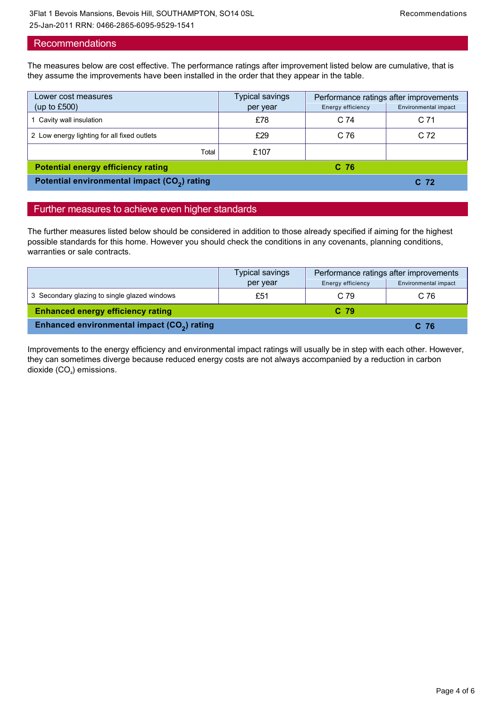#### **Recommendations**

The measures below are cost effective. The performance ratings after improvement listed below are cumulative, that is they assume the improvements have been installed in the order that they appear in the table.

| Lower cost measures                                      | <b>Typical savings</b> | Performance ratings after improvements |                      |  |
|----------------------------------------------------------|------------------------|----------------------------------------|----------------------|--|
| (up to $£500$ )                                          | per year               | Energy efficiency                      | Environmental impact |  |
| 1 Cavity wall insulation                                 | £78                    | C 74                                   | C 71                 |  |
| 2 Low energy lighting for all fixed outlets              | £29                    | C 76                                   | C <sub>72</sub>      |  |
| Total                                                    | £107                   |                                        |                      |  |
| <b>Potential energy efficiency rating</b>                |                        | $C$ 76                                 |                      |  |
| Potential environmental impact (CO <sub>2</sub> ) rating |                        | C <sub>72</sub>                        |                      |  |

#### Further measures to achieve even higher standards

The further measures listed below should be considered in addition to those already specified if aiming for the highest possible standards for this home. However you should check the conditions in any covenants, planning conditions, warranties or sale contracts.

|                                                         | <b>Typical savings</b> | Performance ratings after improvements |                      |
|---------------------------------------------------------|------------------------|----------------------------------------|----------------------|
|                                                         | per year               | Energy efficiency                      | Environmental impact |
| 3 Secondary glazing to single glazed windows            | £51                    | C 79                                   | C 76                 |
| <b>Enhanced energy efficiency rating</b>                |                        | $C$ 79                                 |                      |
| Enhanced environmental impact (CO <sub>2</sub> ) rating |                        |                                        | C 76                 |

Improvements to the energy efficiency and environmental impact ratings will usually be in step with each other. However, they can sometimes diverge because reduced energy costs are not always accompanied by a reduction in carbon dioxide  $(CO_2)$  emissions.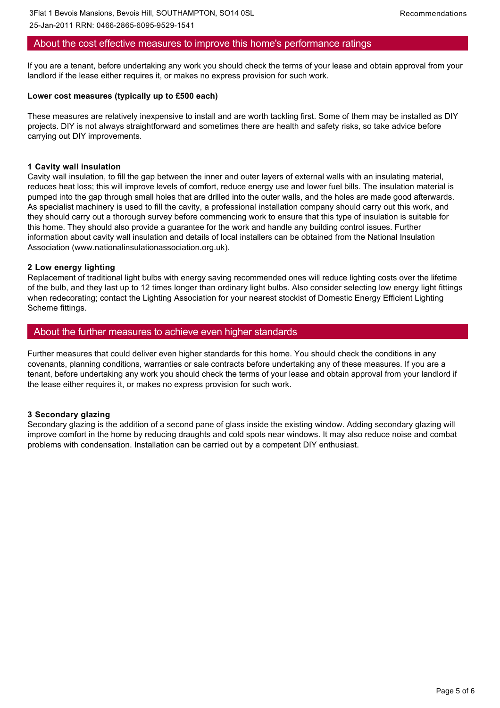#### About the cost effective measures to improve this home's performance ratings

If you are a tenant, before undertaking any work you should check the terms of your lease and obtain approval from your landlord if the lease either requires it, or makes no express provision for such work.

#### **Lower cost measures (typically up to £500 each)**

These measures are relatively inexpensive to install and are worth tackling first. Some of them may be installed as DIY projects. DIY is not always straightforward and sometimes there are health and safety risks, so take advice before carrying out DIY improvements.

#### **1 Cavity wall insulation**

Cavity wall insulation, to fill the gap between the inner and outer layers of external walls with an insulating material, reduces heat loss; this will improve levels of comfort, reduce energy use and lower fuel bills. The insulation material is pumped into the gap through small holes that are drilled into the outer walls, and the holes are made good afterwards. As specialist machinery is used to fill the cavity, a professional installation company should carry out this work, and they should carry out a thorough survey before commencing work to ensure that this type of insulation is suitable for this home. They should also provide a guarantee for the work and handle any building control issues. Further information about cavity wall insulation and details of local installers can be obtained from the National Insulation Association (www.nationalinsulationassociation.org.uk).

#### **2 Low energy lighting**

Replacement of traditional light bulbs with energy saving recommended ones will reduce lighting costs over the lifetime of the bulb, and they last up to 12 times longer than ordinary light bulbs. Also consider selecting low energy light fittings when redecorating; contact the Lighting Association for your nearest stockist of Domestic Energy Efficient Lighting Scheme fittings.

#### About the further measures to achieve even higher standards

Further measures that could deliver even higher standards for this home. You should check the conditions in any covenants, planning conditions, warranties or sale contracts before undertaking any of these measures. If you are a tenant, before undertaking any work you should check the terms of your lease and obtain approval from your landlord if the lease either requires it, or makes no express provision for such work.

#### **3 Secondary glazing**

Secondary glazing is the addition of a second pane of glass inside the existing window. Adding secondary glazing will improve comfort in the home by reducing draughts and cold spots near windows. It may also reduce noise and combat problems with condensation. Installation can be carried out by a competent DIY enthusiast.